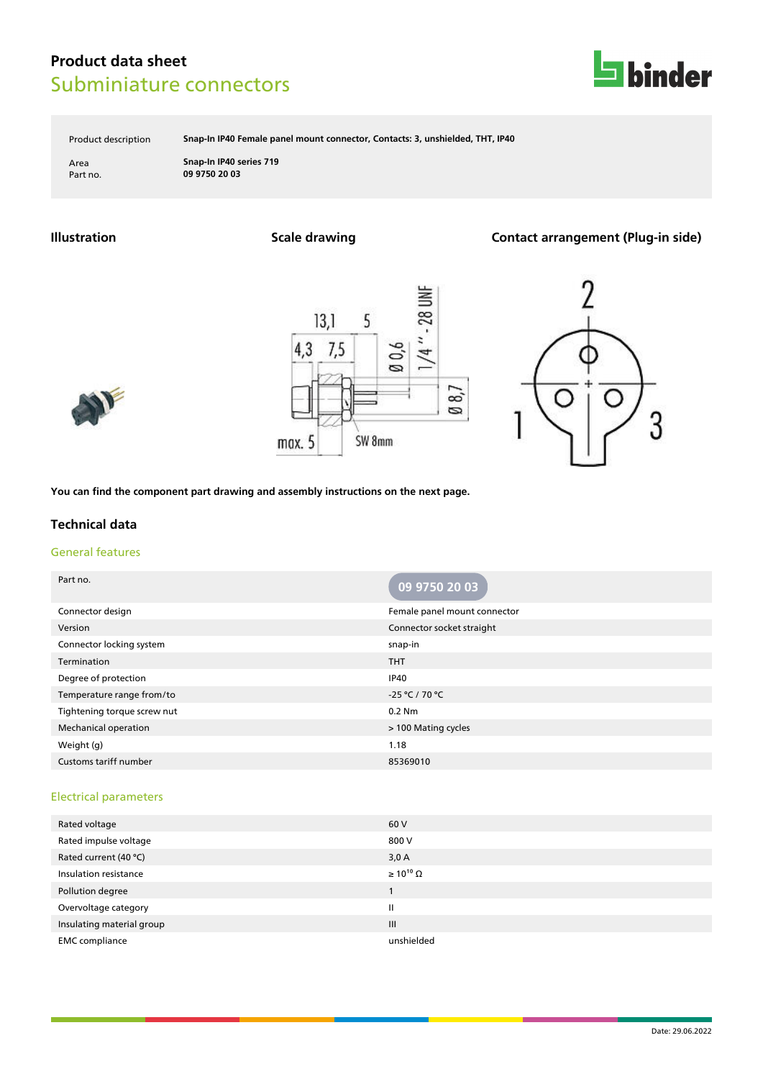

Product description **Snap-In IP40 Female panel mount connector, Contacts: 3, unshielded, THT, IP40**

Area **Snap-In IP40 series 719** Part no. **09 9750 20 03**

**Illustration Scale drawing Contact arrangement (Plug-in side)**







**You can find the component part drawing and assembly instructions on the next page.**

### **Technical data**

# General features

| Part no.                     | 09 9750 20 03                |
|------------------------------|------------------------------|
| Connector design             | Female panel mount connector |
| Version                      | Connector socket straight    |
| Connector locking system     | snap-in                      |
| Termination                  | <b>THT</b>                   |
| Degree of protection         | <b>IP40</b>                  |
| Temperature range from/to    | -25 °C / 70 °C               |
| Tightening torque screw nut  | 0.2 Nm                       |
| <b>Mechanical operation</b>  | > 100 Mating cycles          |
| Weight (g)                   | 1.18                         |
| <b>Customs tariff number</b> | 85369010                     |

#### Electrical parameters

| Rated voltage             | 60 V                  |
|---------------------------|-----------------------|
| Rated impulse voltage     | 800 V                 |
| Rated current (40 °C)     | 3,0A                  |
| Insulation resistance     | $\geq 10^{10} \Omega$ |
| Pollution degree          |                       |
| Overvoltage category      | Ш                     |
| Insulating material group | III                   |
| <b>EMC</b> compliance     | unshielded            |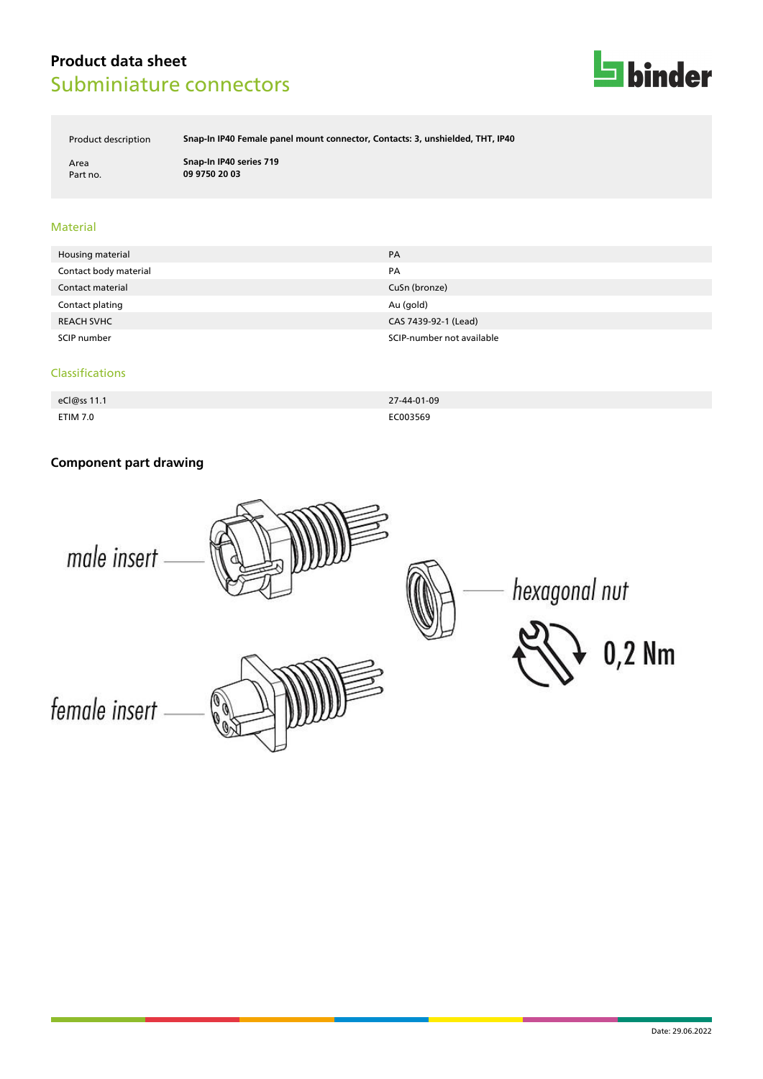

Product description **Snap-In IP40 Female panel mount connector, Contacts: 3, unshielded, THT, IP40**

Area **Snap-In IP40 series 719** Part no. **09 9750 20 03**

### Material

| Housing material      | PA                        |
|-----------------------|---------------------------|
| Contact body material | PA                        |
| Contact material      | CuSn (bronze)             |
| Contact plating       | Au (gold)                 |
| <b>REACH SVHC</b>     | CAS 7439-92-1 (Lead)      |
| SCIP number           | SCIP-number not available |

#### Classifications

| eCl@ss 11.1     | 27-44-01-09 |
|-----------------|-------------|
| <b>ETIM 7.0</b> | EC003569    |

# **Component part drawing**

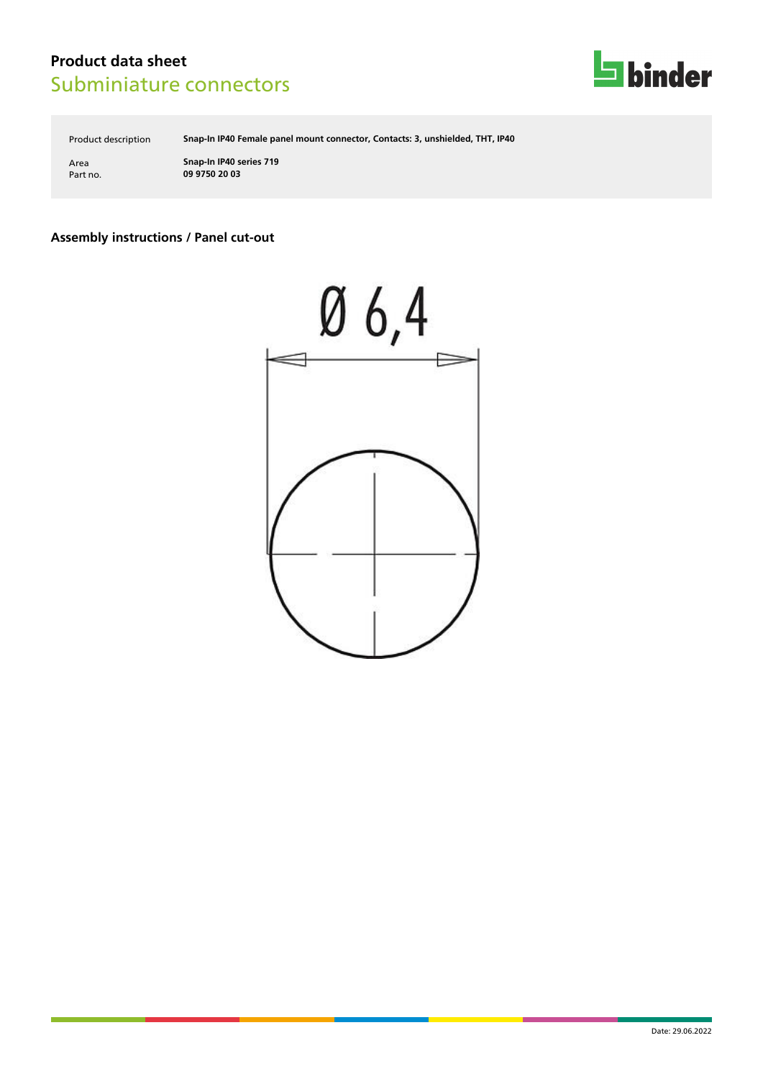

Product description **Snap-In IP40 Female panel mount connector, Contacts: 3, unshielded, THT, IP40**

Area **Snap-In IP40 series 719** Part no. **09 9750 20 03**

### **Assembly instructions / Panel cut-out**